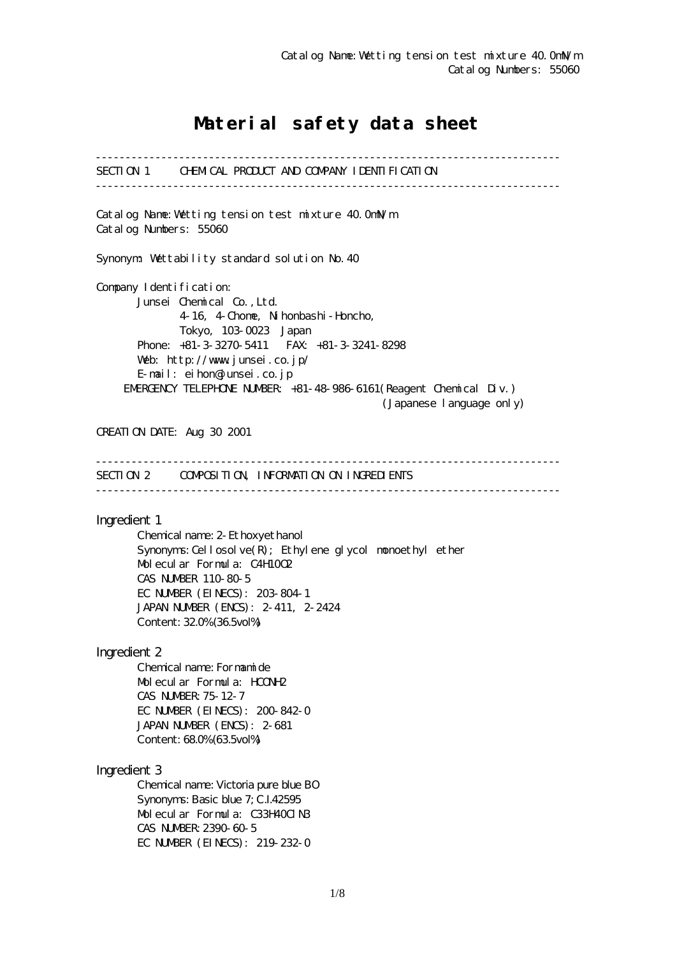# Material safety data sheet

------------------------------------------------------------------------------ SECTION 1 CHEMICAL PRODUCT AND COMPANY IDENTIFICATION ------------------------------------------------------------------------------ Catalog Name:Wetting tension test mixture 40.0mN/m Catalog Numbers: 55060 Synonym: Wettability standard solution No.40 Company I dentification: Junsei Chemical Co.,Ltd. 4-16, 4-Chome, Nihonbashi-Honcho, Tokyo, 103-0023 Japan Phone: +81-3-3270-5411 FAX: +81-3-3241-8298 Web: http://www.junsei.co.jp/ E-mail: eihon@junsei.co.jp EMERGENCY TELEPHONE NUMBER: +81-48-986-6161(Reagent Chemical Div.) (Japanese language only) CREATION DATE: Aug 30 2001 ------------------------------------------------------------------------------ SECTION 2 COMPOSITION, INFORMATION ON INGREDIENTS ------------------------------------------------------------------------------ Ingredient 1 Chemical name: 2-Ethoxyethanol Synonyms: Cellosolve $(R)$ ; Ethylene glycol monoethyl ether Molecular Formula: C4H10O2 CAS NUMBER 110-80-5 EC NUMBER (EINECS): 203-804-1 JAPAN NUMBER (ENCS): 2-411, 2-2424 Content: 32.0% (36.5vol%) Ingredient 2 Chemical name: Formamide Molecular Formula: HCONH2 CAS NUMBER:75-12-7 EC NUMBER (EINECS): 200-842-0 JAPAN NUMBER (ENCS): 2-681 Content: 68.0% (63.5vol%) Ingredient 3 Chemical name: Victoria pure blue BO Synonyms: Basic blue 7; C.I.42595 Molecular Formula: C33H40ClN3 CAS NUMBER:2390-60-5 EC NUMBER (EINECS): 219-232-0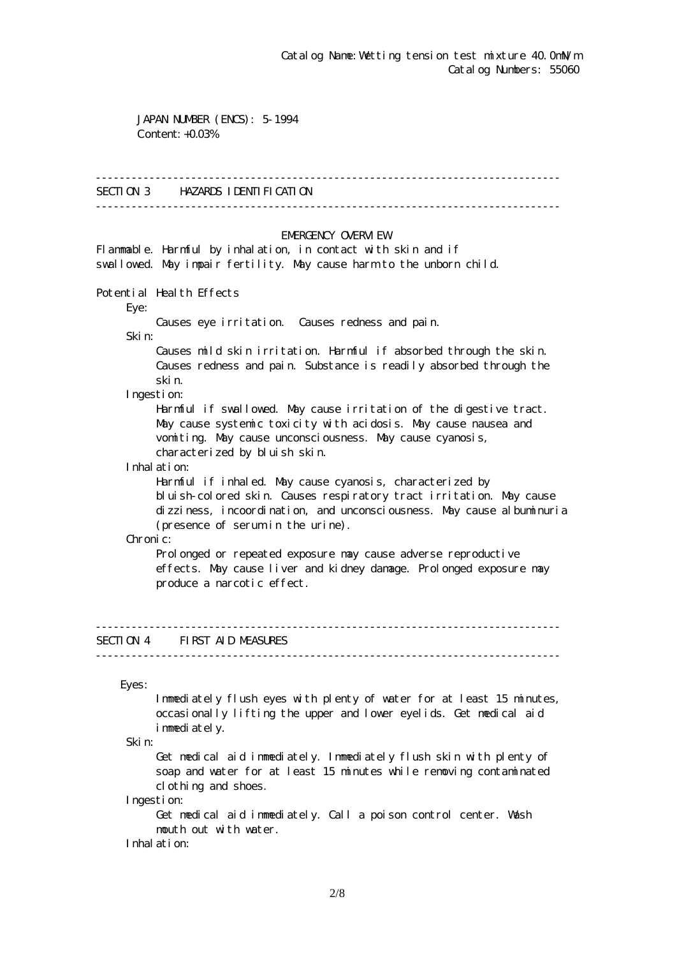JAPAN NUMBER (ENCS): 5-1994 Content: +0.03%

### ------------------------------------------------------------------------------

## SECTION 3 HAZARDS IDENTIFICATION

------------------------------------------------------------------------------

### EMERGENCY CAERM EW

Flammable. Harmful by inhalation, in contact with skin and if swallowed. May impair fertility. May cause harm to the unborn child.

Potential Health Effects

Eye:

Causes eye irritation. Causes redness and pain.

Skin:

 Causes mild skin irritation. Harmful if absorbed through the skin. Causes redness and pain. Substance is readily absorbed through the skin.

Ingestion:

 Harmful if swallowed. May cause irritation of the digestive tract. May cause systemic toxicity with acidosis. May cause nausea and vomiting. May cause unconsciousness. May cause cyanosis, characterized by bluish skin.

Inhalation:

 Harmful if inhaled. May cause cyanosis, characterized by bluish-colored skin. Causes respiratory tract irritation. May cause dizziness, incoordination, and unconsciousness. May cause albuminuria (presence of serum in the urine).

Chronic:

Prolonged or repeated exposure may cause adverse reproductive effects. May cause liver and kidney damage. Prolonged exposure may produce a narcotic effect.

## SECTION 4 FIRST AID MEASURES

------------------------------------------------------------------------------

------------------------------------------------------------------------------

Eyes:

 Immediately flush eyes with plenty of water for at least 15 minutes, occasionally lifting the upper and lower eyelids. Get medical aid immediately.

Skin:

 Get medical aid immediately. Immediately flush skin with plenty of soap and water for at least 15 minutes while removing contaminated clothing and shoes.

Ingestion:

 Get medical aid immediately. Call a poison control center. Wash mouth out with water.

Inhalation: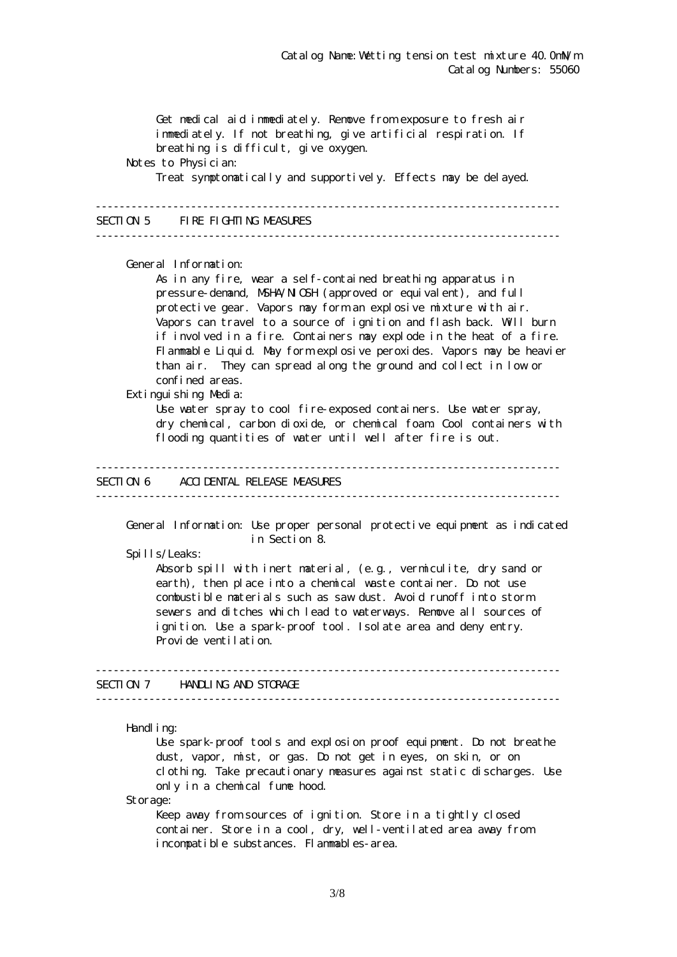Get medical aid immediately. Remove from exposure to fresh air immediately. If not breathing, give artificial respiration. If breathing is difficult, give oxygen. Notes to Physician: Treat symptomatically and supportively. Effects may be delayed. ------------------------------------------------------------------------------ SECTION 5 FIRE FIGHTING MEASURES ------------------------------------------------------------------------------ General Information: As in any fire, wear a self-contained breathing apparatus in pressure-demand, NSHA/NICSH (approved or equivalent), and full protective gear. Vapors may form an explosive mixture with air. Vapors can travel to a source of ignition and flash back. Will burn if involved in a fire. Containers may explode in the heat of a fire. Flammable Liquid. May form explosive peroxides. Vapors may be heavier than air. They can spread along the ground and collect in low or confined areas. Extinguishing Media: Use water spray to cool fire-exposed containers. Use water spray, dry chemical, carbon dioxide, or chemical foam. Cool containers with flooding quantities of water until well after fire is out. ------------------------------------------------------------------------------ SECTION 6 ACCIDENTAL RELEASE MEASURES ------------------------------------------------------------------------------ General Information: Use proper personal protective equipment as indicated in Section 8. Spills/Leaks: Absorb spill with inert material, (e.g., vermiculite, dry sand or earth), then place into a chemical waste container. Do not use combustible materials such as saw dust. Avoid runoff into storm sewers and ditches which lead to waterways. Remove all sources of ignition. Use a spark-proof tool. Isolate area and deny entry. Provide ventilation. ------------------------------------------------------------------------------ SECTION 7 HANDLING AND STORAGE ------------------------------------------------------------------------------ Handling: Use spark-proof tools and explosion proof equipment. Do not breathe dust, vapor, mist, or gas. Do not get in eyes, on skin, or on clothing. Take precautionary measures against static discharges. Use only in a chemical fume hood.

Storage:

Keep away from sources of ignition. Store in a tightly closed container. Store in a cool, dry, well-ventilated area away from incompatible substances. Flammables-area.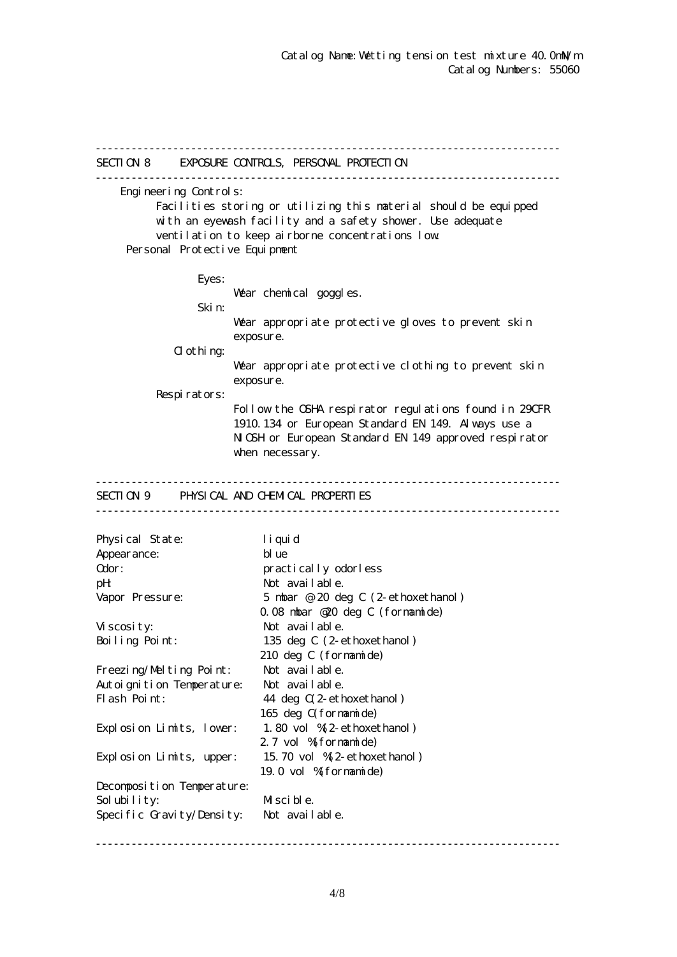------------------------------------------------------------------------------ SECTION 8 EXPOSURE CONTROLS, PERSONAL PROTECTION ------------------------------------------------------------------------------ Engineering Controls: Facilities storing or utilizing this material should be equipped with an eyewash facility and a safety shower. Use adequate ventilation to keep airborne concentrations low. Personal Protective Equipment Eyes: War chemical goggles. Skin: Wear appropriate protective gloves to prevent skin exposure.  $d$  othing: Wear appropriate protective clothing to prevent skin exposure. Respirators: Follow the OSHA respirator regulations found in 29CFR 1910.134 or European Standard EN 149. Always use a NGH or European Standard EN 149 approved respirator when necessary. ------------------------------------------------------------------------------ SECTION 9 PHYSICAL AND CHEMICAL PROPERTIES ------------------------------------------------------------------------------ Physical State: liquid Appearance: blue Odor: practically odorless pH: Not available. Vapor Pressure: 5 mbar @ 20 deg C (2-ethoxethanol) 0.08 mbar @20 deg C (formamide) Viscosity: Not available. Boiling Point: 135 deg C (2-ethoxethanol) 210 deg C (formamide) Freezing/Melting Point: Not available. Autoignition Temperature: Not available. Flash Point: 44 deg  $C(2$ -ethoxethanol) 165 deg C(formamide) Explosion Limits, lower: 1.80 vol %(2-ethoxethanol) 2.7 vol % formamide) Explosion Limits, upper: 15.70 vol %(2-ethoxethanol) 19.0 vol %(formamide) Decomposition Temperature: Solubility: Miscible. Specific Gravity/Density: Not available.

------------------------------------------------------------------------------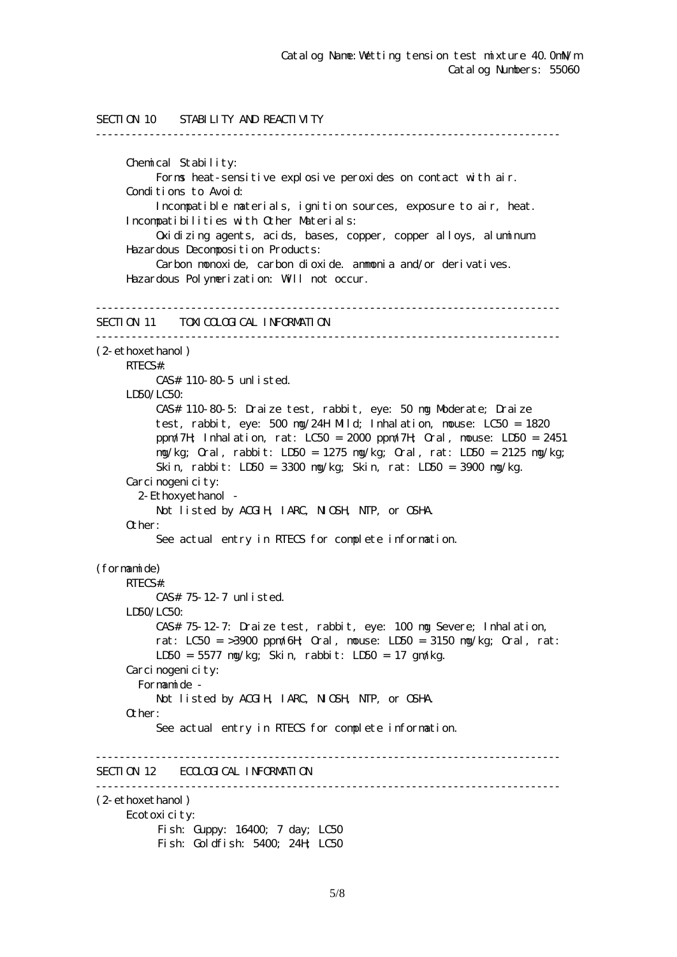```
SECTION 10 STABILITY AND REACTIVITY
------------------------------------------------------------------------------
      Chemical Stability:
           Forms heat-sensitive explosive peroxides on contact with air.
      Conditions to Avoid:
           Incompatible materials, ignition sources, exposure to air, heat.
      Incompatibilities with Other Materials:
           Oxidizing agents, acids, bases, copper, copper alloys, aluminum.
      Hazardous Decomposition Products:
           Carbon monoxide, carbon dioxide. ammonia and/or derivatives.
      Hazardous Polymerization: Will not occur.
------------------------------------------------------------------------------
SECTION 11 TOM COLOGICAL INFORMATION
------------------------------------------------------------------------------
(2-ethoxethanol)
     RTECS#:
           CAS# 110-80-5 unlisted.
    LDSO/LCSO CAS# 110-80-5: Draize test, rabbit, eye: 50 mg Moderate; Draize
           test, rabbit, eye: 500 mg/24H Mild; Inhalation, mouse: LC50 = 1820
           ppm/7H; Inhalation, rat: LC50 = 2000 ppm/7H; Oral, mouse: LD50 = 2451
           mg/kg; Oral, rabbit: LD50 = 1275 mg/kg; Oral, rat: LD50 = 2125 mg/kg;
           Skin, rabbit: LD50 = 3300 mg/kg; Skin, rat: LD50 = 3900 mg/kg.
     Carcinogenicity:
        2-Ethoxyethanol -
          Not listed by ACGIH, IARC, NICSH, NIP, or CSHA.
      Other:
           See actual entry in RTECS for complete information.
(formamide)
     RTECS#:
           CAS# 75-12-7 unlisted.
     LD50/LC50:
           CAS# 75-12-7: Draize test, rabbit, eye: 100 mg Severe; Inhalation,
          rat: LC50 = >3900 ppm/6H Qrd, nouse: LD50 = 3150 mg/kg; Qrd, rat:
           LD50 = 5577 mg/kg; Skin, rabbit: LD50 = 17 gm/kg.
     Carcinogenicity:
        Formamide -
          Not listed by ACGIH, IARC, NICSH, NIP, or CSHA.
      Other:
           See actual entry in RTECS for complete information.
------------------------------------------------------------------------------
SECTION 12 ECOLOGICAL INFORMATION
------------------------------------------------------------------------------
(2-ethoxethanol)
      Ecotoxicity:
          Fish: Guppy: 16400; 7 day; LC50
          Fish: Goldfish: 5400; 24H; LC50
```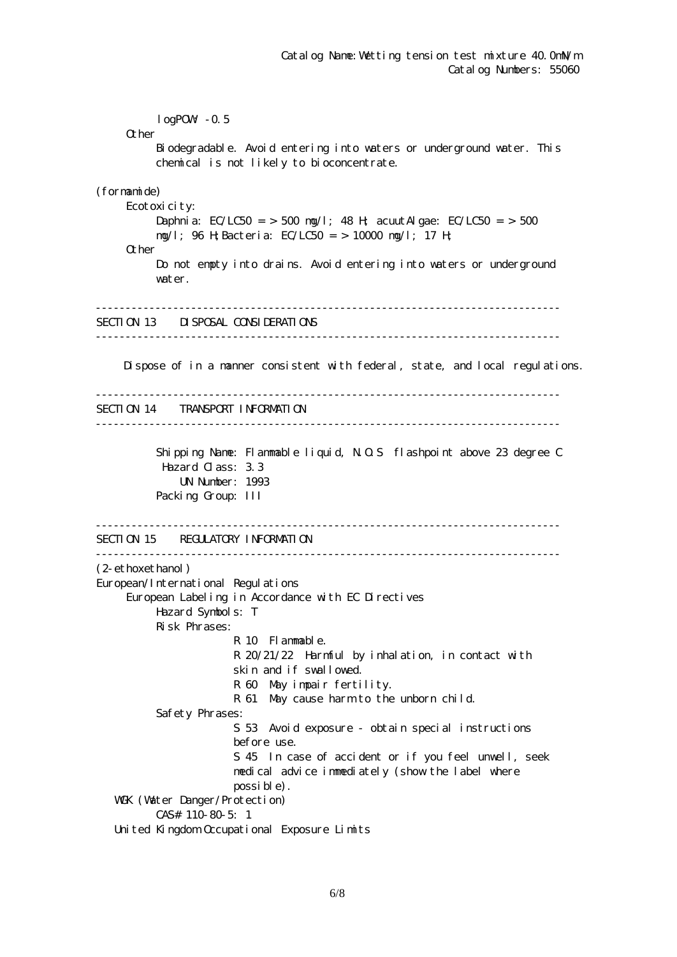$logPOW - 0.5$ **O**ther Biodegradable. Avoid entering into waters or underground water. This chemical is not likely to bioconcentrate. (formamide) Ecotoxicity: Daphnia: EC/LC50 = > 500 mg/l; 48 H; acuut Algae: EC/LC50 = > 500 mg/l; 96 H;Bacteria: EC/LC50 = > 10000 mg/l; 17 H; Other Do not empty into drains. Avoid entering into waters or underground water. ------------------------------------------------------------------------------ SECTION 13 DISPOSAL CONSIDERATIONS ------------------------------------------------------------------------------ Dispose of in a manner consistent with federal, state, and local regulations. ------------------------------------------------------------------------------ SECTION 14 TRANSPORT INFORMATION ------------------------------------------------------------------------------ Shipping Name: Flammable liquid, N.O.S flashpoint above 23 degree C Hazard Class: 3.3 UN Number: 1993 Packing Group: III ------------------------------------------------------------------------------ SECTION 15 REGULATORY INFORMATION ------------------------------------------------------------------------------ (2-ethoxethanol) European/International Regulations European Labeling in Accordance with EC Directives Hazard Symbols: T Risk Phrases: R 10 Flammable. R 20/21/22 Harmful by inhalation, in contact with skin and if swallowed. R 60 May impair fertility. R 61 May cause harm to the unborn child. Safety Phrases: S 53 Avoid exposure - obtain special instructions before use. S 45 In case of accident or if you feel unwell, seek medical advice immediately (show the label where possible). WGK (Water Danger/Protection) CAS# 110-80-5: 1 United Kingdom Occupational Exposure Limits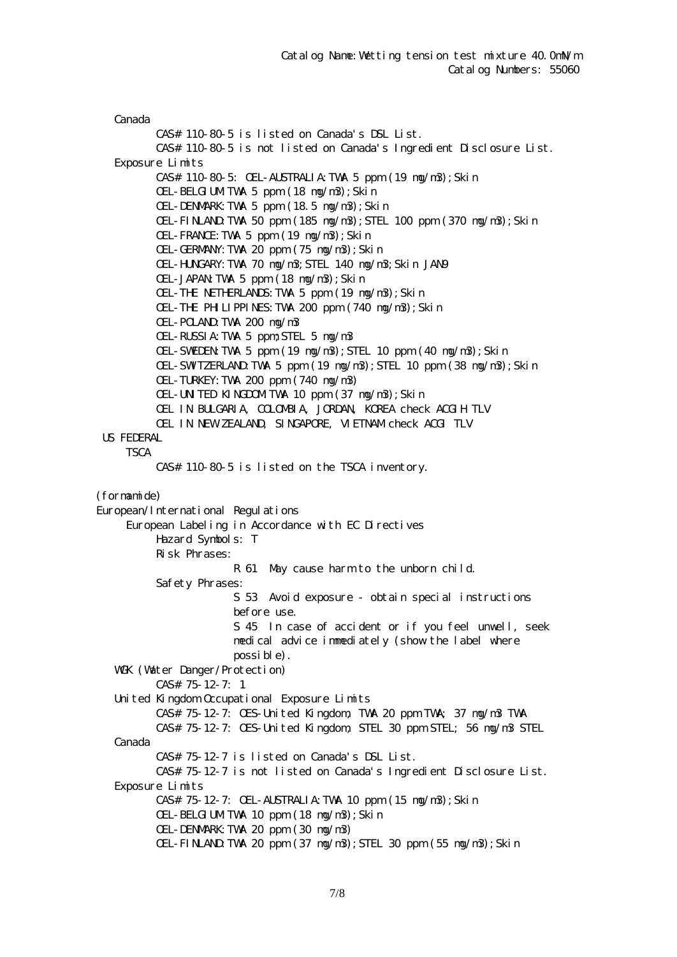Canada CAS# 110-80-5 is listed on Canada's DSL List. CAS# 110-80-5 is not listed on Canada's Ingredient Disclosure List. Exposure Limits CAS# 110-80-5: OEL-AUSTRALIA:TWA 5 ppm (19 mg/m3);Skin OEL-BELGIUMTWA 5 ppm (18 ng/n3); Skin OEL-DENMARK:TWA 5 ppm (18.5 mg/m3);Skin OEL-FINLAND:TWA 50 ppm (185 mg/m3);STEL 100 ppm (370 mg/m3);Skin OEL-FRANCE:TWA 5 ppm (19 mg/m3);Skin OEL-GERMANY:TWA 20 ppm (75 mg/m3);Skin OEL-HUNGARY:TWA 70 mg/m3;STEL 140 mg/m3;Skin JAN9 OEL-JAPAN:TWA 5 ppm (18 mg/m3);Skin OEL-THE NETHERLANDS:TWA 5 ppm (19 mg/m3);Skin OEL-THE PHILIPPINES:TWA 200 ppm (740 mg/m3);Skin OEL-POLAND:TWA 200 mg/m3 OEL-RUSSIA:TWA 5 ppm;STEL 5 mg/m3 OEL-SWEDEN:TWA 5 ppm (19 mg/m3);STEL 10 ppm (40 mg/m3);Skin OEL-SWITZERLAND:TWA 5 ppm (19 mg/m3);STEL 10 ppm (38 mg/m3);Skin OEL-TURKEY:TWA 200 ppm (740 mg/m3) OEL-UNITED KINGDOMITWA 10 ppm (37 ng/n3); Skin OEL IN BULGARIA, COLOMBIA, JORDAN, KOREA check ACGIH TLV OEL IN NEW ZEALAND, SINGAPORE, VIETNAM check ACGI TLV US FEDERAL **TSCA**  CAS# 110-80-5 is listed on the TSCA inventory. (formamide) European/International Regulations European Labeling in Accordance with EC Directives Hazard Symbols: T Risk Phrases: R 61 May cause harm to the unborn child. Safety Phrases: S 53 Avoid exposure - obtain special instructions before use. S 45 In case of accident or if you feel unwell, seek medical advice immediately (show the label where possible). WGK (Watter Danger/Protection) CAS# 75-12-7: 1 United Kingdom Occupational Exposure Limits CAS# 75-12-7: OES-United Kingdom, TWA 20 ppm TWA; 37 mg/m3 TWA CAS# 75-12-7: OES-United Kingdom, STEL 30 ppm STEL; 56 mg/m3 STEL Canada CAS# 75-12-7 is listed on Canada's DSL List. CAS# 75-12-7 is not listed on Canada's Ingredient Disclosure List. Exposure Limits CAS# 75-12-7: OEL-AUSTRALIA:TWA 10 ppm (15 mg/m3);Skin OEL-BELGIUMTWA 10 ppm (18 ng/n3); Skin OEL-DENMARK:TWA 20 ppm (30 mg/m3)  $CH$ -FINLAND TWA 20 ppm  $(37 \text{ ng/m3})$ ; STEL 30 ppm  $(55 \text{ ng/m3})$ ; Skin